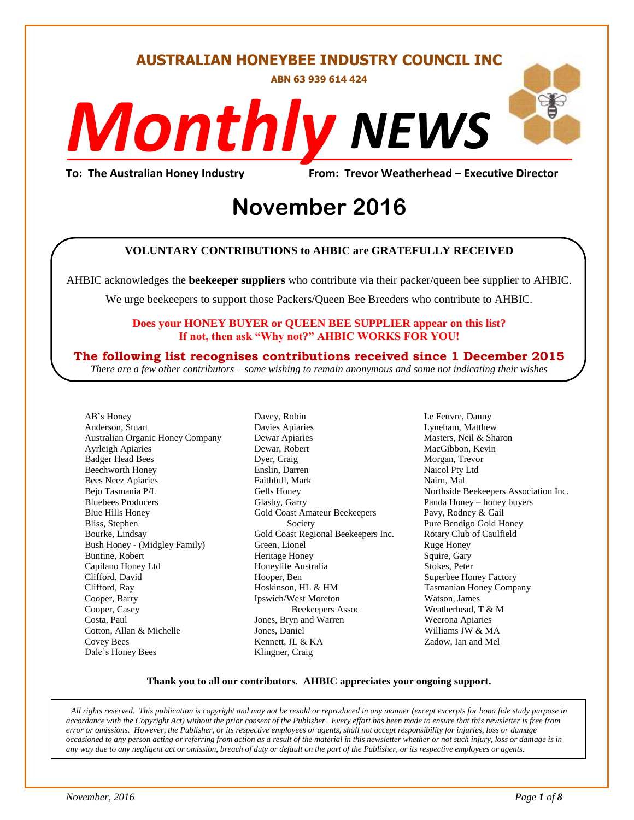#### **AUSTRALIAN HONEYBEE INDUSTRY COUNCIL INC**

**ABN 63 939 614 424**

# *NEWS Monthly*

**To: The Australian Honey Industry From: Trevor Weatherhead – Executive Director**

## *DS* **November 2016**

#### **VOLUNTARY CONTRIBUTIONS to AHBIC are GRATEFULLY RECEIVED**

AHBIC acknowledges the **beekeeper suppliers** who contribute via their packer/queen bee supplier to AHBIC.

We urge beekeepers to support those Packers/Queen Bee Breeders who contribute to AHBIC.

#### **Does your HONEY BUYER or QUEEN BEE SUPPLIER appear on this list? If not, then ask "Why not?" AHBIC WORKS FOR YOU!**

#### **The following list recognises contributions received since 1 December 2015**

*There are a few other contributors – some wishing to remain anonymous and some not indicating their wishes*

AB's Honey Anderson, Stuart Australian Organic Honey Company Ayrleigh Apiaries Badger Head Bees Beechworth Honey Bees Neez Apiaries Bejo Tasmania P/L Bluebees Producers Blue Hills Honey Bliss, Stephen Bourke, Lindsay Bush Honey - (Midgley Family) Buntine, Robert Capilano Honey Ltd Clifford, David Clifford, Ray Cooper, Barry Cooper, Casey Costa, Paul Cotton, Allan & Michelle Covey Bees Dale's Honey Bees

Davey, Robin Davies Apiaries Dewar Apiaries Dewar, Robert Dyer, Craig Enslin, Darren Faithfull, Mark Gells Honey Glasby, Garry Gold Coast Amateur Beekeepers Society Gold Coast Regional Beekeepers Inc. Green, Lionel Heritage Honey Honeylife Australia Hooper, Ben Hoskinson, HL & HM Ipswich/West Moreton Beekeepers Assoc Jones, Bryn and Warren Jones, Daniel Kennett, JL & KA Klingner, Craig

Le Feuvre, Danny Lyneham, Matthew Masters, Neil & Sharon MacGibbon, Kevin Morgan, Trevor Naicol Pty Ltd Nairn, Mal Northside Beekeepers Association Inc. Panda Honey – honey buyers Pavy, Rodney & Gail Pure Bendigo Gold Honey Rotary Club of Caulfield Ruge Honey Squire, Gary Stokes, Peter Superbee Honey Factory Tasmanian Honey Company Watson, James Weatherhead, T & M Weerona Apiaries Williams JW & MA Zadow, Ian and Mel

#### **Thank you to all our contributors***.* **AHBIC appreciates your ongoing support.**

*All rights reserved. This publication is copyright and may not be resold or reproduced in any manner (except excerpts for bona fide study purpose in accordance with the Copyright Act) without the prior consent of the Publisher. Every effort has been made to ensure that this newsletter is free from error or omissions. However, the Publisher, or its respective employees or agents, shall not accept responsibility for injuries, loss or damage occasioned to any person acting or referring from action as a result of the material in this newsletter whether or not such injury, loss or damage is in any way due to any negligent act or omission, breach of duty or default on the part of the Publisher, or its respective employees or agents.*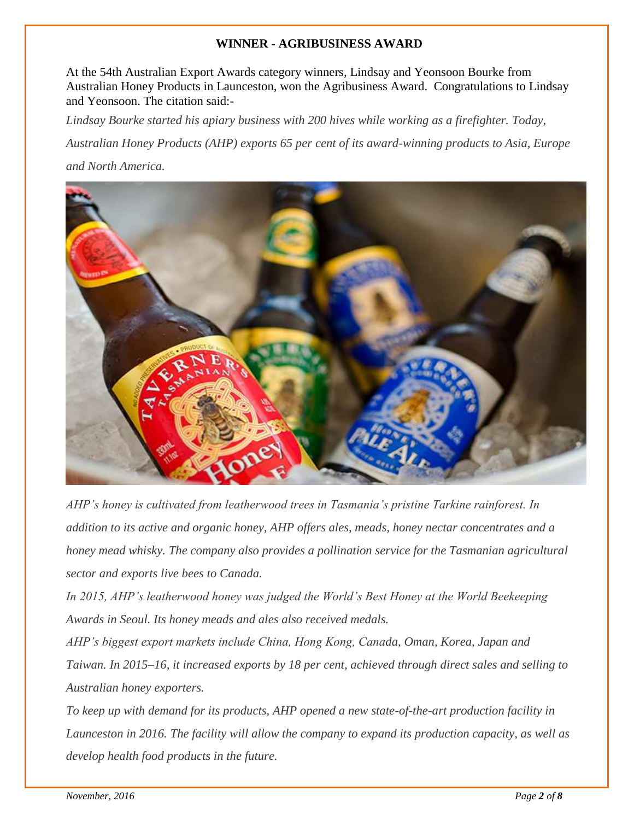#### **WINNER - AGRIBUSINESS AWARD**

At the 54th Australian Export Awards category winners, Lindsay and Yeonsoon Bourke from Australian Honey Products in Launceston, won the Agribusiness Award. Congratulations to Lindsay and Yeonsoon. The citation said:-

*Lindsay Bourke started his apiary business with 200 hives while working as a firefighter. Today,* 

*Australian Honey Products (AHP) exports 65 per cent of its award-winning products to Asia, Europe and North America.*



*AHP's honey is cultivated from leatherwood trees in Tasmania's pristine Tarkine rainforest. In addition to its active and organic honey, AHP offers ales, meads, honey nectar concentrates and a honey mead whisky. The company also provides a pollination service for the Tasmanian agricultural sector and exports live bees to Canada.*

*In 2015, AHP's leatherwood honey was judged the World's Best Honey at the World Beekeeping Awards in Seoul. Its honey meads and ales also received medals.*

*AHP's biggest export markets include China, Hong Kong, Canada, Oman, Korea, Japan and Taiwan. In 2015–16, it increased exports by 18 per cent, achieved through direct sales and selling to Australian honey exporters.*

*To keep up with demand for its products, AHP opened a new state-of-the-art production facility in Launceston in 2016. The facility will allow the company to expand its production capacity, as well as develop health food products in the future.*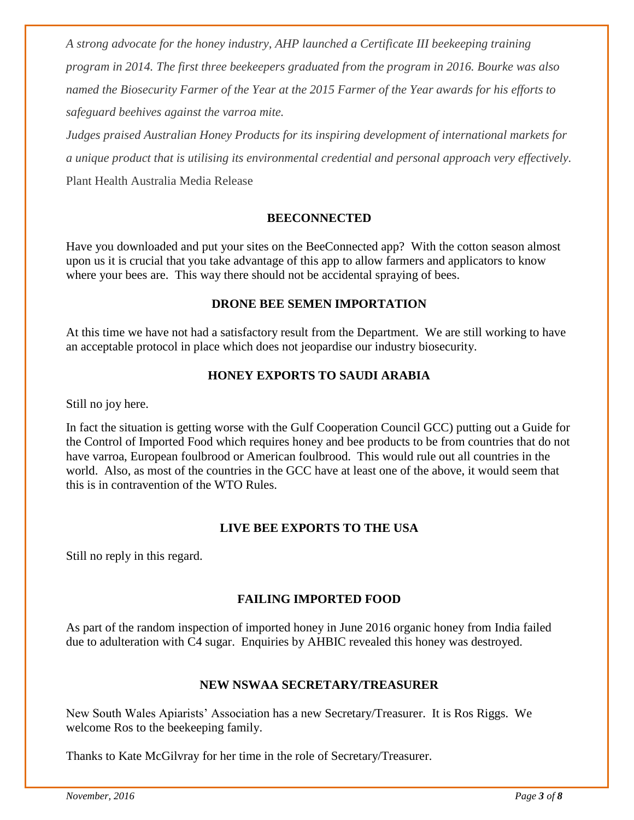*A strong advocate for the honey industry, AHP launched a Certificate III beekeeping training program in 2014. The first three beekeepers graduated from the program in 2016. Bourke was also named the Biosecurity Farmer of the Year at the 2015 Farmer of the Year awards for his efforts to safeguard beehives against the varroa mite.*

*Judges praised Australian Honey Products for its inspiring development of international markets for a unique product that is utilising its environmental credential and personal approach very effectively.* Plant Health Australia Media Release

#### **BEECONNECTED**

Have you downloaded and put your sites on the BeeConnected app? With the cotton season almost upon us it is crucial that you take advantage of this app to allow farmers and applicators to know where your bees are. This way there should not be accidental spraying of bees.

#### **DRONE BEE SEMEN IMPORTATION**

At this time we have not had a satisfactory result from the Department. We are still working to have an acceptable protocol in place which does not jeopardise our industry biosecurity.

#### **HONEY EXPORTS TO SAUDI ARABIA**

Still no joy here.

In fact the situation is getting worse with the Gulf Cooperation Council GCC) putting out a Guide for the Control of Imported Food which requires honey and bee products to be from countries that do not have varroa, European foulbrood or American foulbrood. This would rule out all countries in the world. Also, as most of the countries in the GCC have at least one of the above, it would seem that this is in contravention of the WTO Rules.

#### **LIVE BEE EXPORTS TO THE USA**

Still no reply in this regard.

#### **FAILING IMPORTED FOOD**

As part of the random inspection of imported honey in June 2016 organic honey from India failed due to adulteration with C4 sugar. Enquiries by AHBIC revealed this honey was destroyed.

#### **NEW NSWAA SECRETARY/TREASURER**

New South Wales Apiarists' Association has a new Secretary/Treasurer. It is Ros Riggs. We welcome Ros to the beekeeping family.

Thanks to Kate McGilvray for her time in the role of Secretary/Treasurer.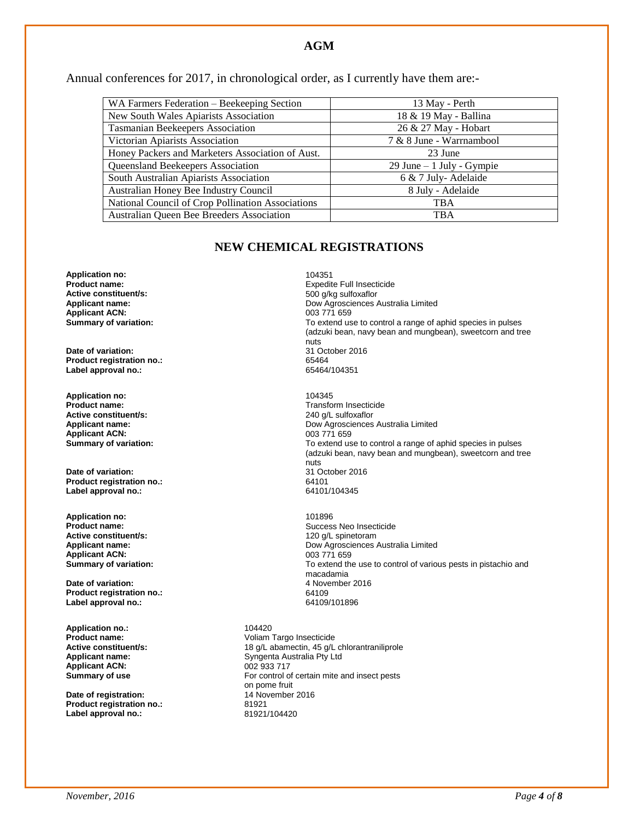#### **AGM**

Annual conferences for 2017, in chronological order, as I currently have them are:-

| WA Farmers Federation – Beekeeping Section        | 13 May - Perth             |
|---------------------------------------------------|----------------------------|
| New South Wales Apiarists Association             | 18 & 19 May - Ballina      |
| <b>Tasmanian Beekeepers Association</b>           | 26 & 27 May - Hobart       |
| Victorian Apiarists Association                   | 7 & 8 June - Warrnambool   |
| Honey Packers and Marketers Association of Aust.  | 23 June                    |
| Queensland Beekeepers Association                 | 29 June $-1$ July - Gympie |
| South Australian Apiarists Association            | 6 & 7 July-Adelaide        |
| Australian Honey Bee Industry Council             | 8 July - Adelaide          |
| National Council of Crop Pollination Associations | TBA                        |
| Australian Queen Bee Breeders Association         | <b>TBA</b>                 |

#### **NEW CHEMICAL REGISTRATIONS**

**Application no:** 104351 **Active constituent/s:**<br>Applicant name: **Applicant ACN:**<br>Summary of variation:

**Date of variation:** 31 October 2016 **Product registration no.:** 65464 Label approval no.:

**Application no:** 104345 **Active constituent/s:** <br> **Applicant name:** <br> **Applicant name:** <br> **Cow Agrosciences Applicant ACN:**<br>**Summary of variation:** 

**Date of variation:** 31 October 2016<br> **Product registration no.:** 64101 **Product registration no.:** 64101 **Label approval no.:** 

**Application no:**  $\qquad \qquad$ 101896<br>**Product name:** Succes **Active constituent/s: Applicant ACN:**<br>Summary of variation:

**Date of variation:** 4 November 2016 **Product registration no.:** 64109 **Label approval no.:** 

**Application no.:** 104420<br>**Product name:** Voliam **Applicant ACN:** 002 933 717<br> **Summary of use** For control of

**Date of registration:** 14 November 2016<br>Product registration no.: 81921 **Product registration no.:** 81921<br> **Label approval no.:** 81921/104420 **Label approval no.:** 

**Expedite Full Insecticide**<br>500 g/kg sulfoxaflor Dow Agrosciences Australia Limited<br>003 771 659 To extend use to control a range of aphid species in pulses (adzuki bean, navy bean and mungbean), sweetcorn and tree nuts

**Transform Insecticide** Dow Agrosciences Australia Limited<br>003 771 659 To extend use to control a range of aphid species in pulses (adzuki bean, navy bean and mungbean), sweetcorn and tree nuts<br>31 October 2016

Success Neo Insecticide<br>120 q/L spinetoram **Applicant name:** Dow Agrosciences Australia Limited To extend the use to control of various pests in pistachio and macadamia

**Product name:** Voliam Targo Insecticide **Active constituent/s:** <br>18 g/L abamectin, 45 g/L chlorantraniliprole<br>Syngenta Australia Pty Ltd Syngenta Australia Pty Ltd For control of certain mite and insect pests on pome fruit<br>14 November 2016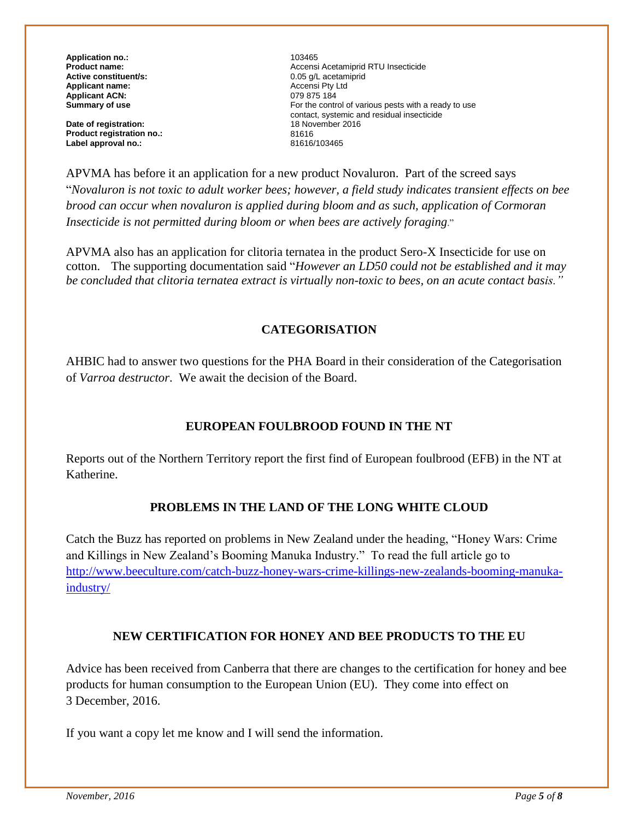**Application no.:**  $\qquad \qquad \qquad$  103465<br> **Product name:**  $\qquad \qquad$  Accensi **Active constituent/s:**  $0.05 \text{ g/L }$  acetam<br> **Applicant name:**  $0.05 \text{ g/L }$  acetamics **Applicant name:** Accensi Pty Ltd **Applicant ACN:**<br>Summary of use

**Date of registration:** 18 November 2016<br> **Product registration no.:** 81616 **Product registration no.:** 81616 Label approval no.:

Accensi Acetamiprid RTU Insecticide<br>0.05 a/L acetamiprid For the control of various pests with a ready to use contact, systemic and residual insecticide

APVMA has before it an application for a new product Novaluron. Part of the screed says "*Novaluron is not toxic to adult worker bees; however, a field study indicates transient effects on bee brood can occur when novaluron is applied during bloom and as such, application of Cormoran Insecticide is not permitted during bloom or when bees are actively foraging*."

APVMA also has an application for clitoria ternatea in the product Sero-X Insecticide for use on cotton. The supporting documentation said "*However an LD50 could not be established and it may be concluded that clitoria ternatea extract is virtually non-toxic to bees, on an acute contact basis."*

#### **CATEGORISATION**

AHBIC had to answer two questions for the PHA Board in their consideration of the Categorisation of *Varroa destructor*. We await the decision of the Board.

#### **EUROPEAN FOULBROOD FOUND IN THE NT**

Reports out of the Northern Territory report the first find of European foulbrood (EFB) in the NT at Katherine.

#### **PROBLEMS IN THE LAND OF THE LONG WHITE CLOUD**

Catch the Buzz has reported on problems in New Zealand under the heading, "Honey Wars: Crime and Killings in New Zealand's Booming Manuka Industry." To read the full article go to [http://www.beeculture.com/catch-buzz-honey-wars-crime-killings-new-zealands-booming-manuka](http://www.beeculture.com/catch-buzz-honey-wars-crime-killings-new-zealands-booming-manuka-industry/)[industry/](http://www.beeculture.com/catch-buzz-honey-wars-crime-killings-new-zealands-booming-manuka-industry/)

#### **NEW CERTIFICATION FOR HONEY AND BEE PRODUCTS TO THE EU**

Advice has been received from Canberra that there are changes to the certification for honey and bee products for human consumption to the European Union (EU). They come into effect on 3 December, 2016.

If you want a copy let me know and I will send the information.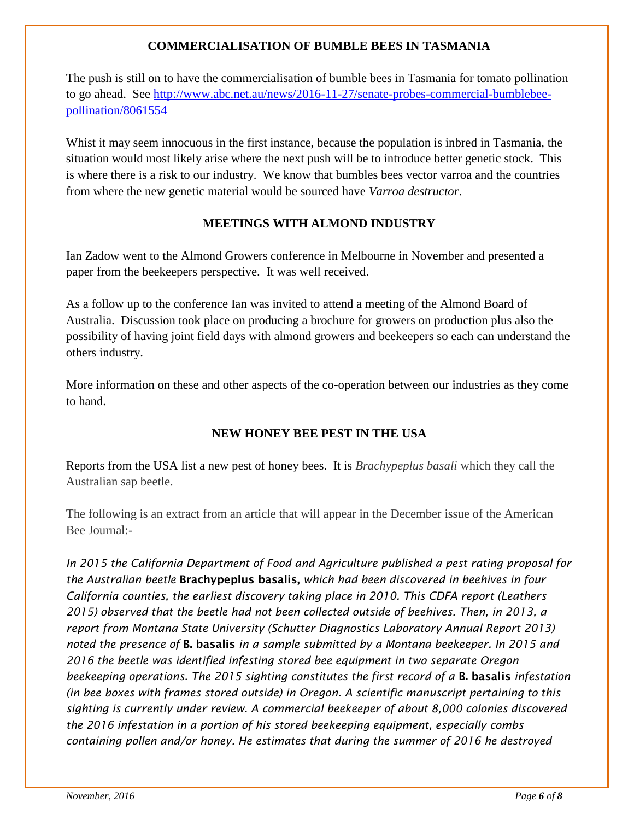#### **COMMERCIALISATION OF BUMBLE BEES IN TASMANIA**

The push is still on to have the commercialisation of bumble bees in Tasmania for tomato pollination to go ahead. See [http://www.abc.net.au/news/2016-11-27/senate-probes-commercial-bumblebee](http://www.abc.net.au/news/2016-11-27/senate-probes-commercial-bumblebee-pollination/8061554)[pollination/8061554](http://www.abc.net.au/news/2016-11-27/senate-probes-commercial-bumblebee-pollination/8061554) 

Whist it may seem innocuous in the first instance, because the population is inbred in Tasmania, the situation would most likely arise where the next push will be to introduce better genetic stock. This is where there is a risk to our industry. We know that bumbles bees vector varroa and the countries from where the new genetic material would be sourced have *Varroa destructor*.

#### **MEETINGS WITH ALMOND INDUSTRY**

Ian Zadow went to the Almond Growers conference in Melbourne in November and presented a paper from the beekeepers perspective. It was well received.

As a follow up to the conference Ian was invited to attend a meeting of the Almond Board of Australia. Discussion took place on producing a brochure for growers on production plus also the possibility of having joint field days with almond growers and beekeepers so each can understand the others industry.

More information on these and other aspects of the co-operation between our industries as they come to hand.

#### **NEW HONEY BEE PEST IN THE USA**

Reports from the USA list a new pest of honey bees. It is *Brachypeplus basali* which they call the Australian sap beetle.

The following is an extract from an article that will appear in the December issue of the American Bee Journal:-

*In 2015 the California Department of Food and Agriculture published a pest rating proposal for the Australian beetle* Brachypeplus basalis, *which had been discovered in beehives in four California counties, the earliest discovery taking place in 2010. This CDFA report (Leathers 2015) observed that the beetle had not been collected outside of beehives. Then, in 2013, a report from Montana State University (Schutter Diagnostics Laboratory Annual Report 2013) noted the presence of* B. basalis *in a sample submitted by a Montana beekeeper. In 2015 and 2016 the beetle was identified infesting stored bee equipment in two separate Oregon beekeeping operations. The 2015 sighting constitutes the first record of a* B. basalis *infestation (in bee boxes with frames stored outside) in Oregon. A scientific manuscript pertaining to this sighting is currently under review. A commercial beekeeper of about 8,000 colonies discovered the 2016 infestation in a portion of his stored beekeeping equipment, especially combs containing pollen and/or honey. He estimates that during the summer of 2016 he destroyed*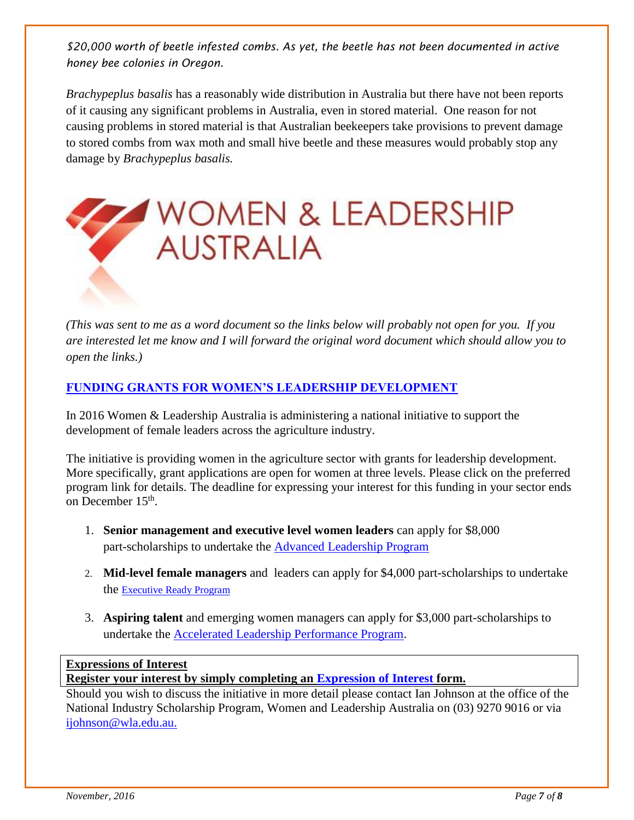*\$20,000 worth of beetle infested combs. As yet, the beetle has not been documented in active honey bee colonies in Oregon.*

*Brachypeplus basalis* has a reasonably wide distribution in Australia but there have not been reports of it causing any significant problems in Australia, even in stored material. One reason for not causing problems in stored material is that Australian beekeepers take provisions to prevent damage to stored combs from wax moth and small hive beetle and these measures would probably stop any damage by *Brachypeplus basalis.*



*(This was sent to me as a word document so the links below will probably not open for you. If you are interested let me know and I will forward the original word document which should allow you to open the links.)*

#### **[FUNDING GRANTS FOR WOMEN'S LEADERSHIP DEVELOPMENT](http://www.wla.edu.au/association-eoi.html)**

In 2016 Women & Leadership Australia is administering a national initiative to support the development of female leaders across the agriculture industry.

The initiative is providing women in the agriculture sector with grants for leadership development. More specifically, grant applications are open for women at three levels. Please click on the preferred program link for details. The deadline for expressing your interest for this funding in your sector ends on December 15<sup>th</sup>.

- 1. **Senior management and executive level women leaders** can apply for \$8,000 part-scholarships to undertake the [Advanced Leadership Program](http://wla.edu.au/programs/ALP/ALP-Prospectus-2016V07-web.pdf)
- 2. **Mid-level female managers** and leaders can apply for \$4,000 part-scholarships to undertake the [Executive Ready Program](http://wla.edu.au/programs/ER/WLA-Executive-Ready-EDM.pdf)
- 3. **Aspiring talent** and emerging women managers can apply for \$3,000 part-scholarships to undertake the [Accelerated Leadership Performance Program.](http://wla.edu.au/programs/ALPP/ALPP-Prospectus-2016V07-web.pdf)

#### **Expressions of Interest**

**Register your interest by simply completing an [Expression of Interest](http://www.wla.edu.au/association-eoi.html) form.**

Should you wish to discuss the initiative in more detail please contact Ian Johnson at the office of the National Industry Scholarship Program, Women and Leadership Australia on (03) 9270 9016 or via [ijohnson@wla.edu.au.](mailto:ijohnson@wla.edu.au)